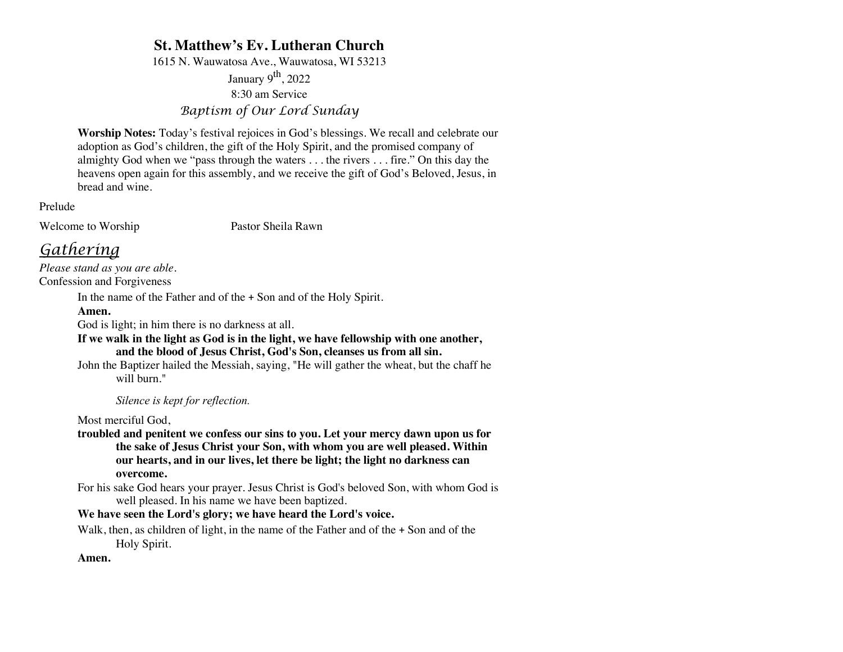# **St. Matthew's Ev. Lutheran Church**

1615 N. Wauwatosa Ave., Wauwatosa, WI 53213

January  $9<sup>th</sup>$ , 2022 8:30 am Service *Baptism of Our Lord Sunday*

**Worship Notes:** Today's festival rejoices in God's blessings. We recall and celebrate our adoption as God's children, the gift of the Holy Spirit, and the promised company of almighty God when we "pass through the waters . . . the rivers . . . fire." On this day the heavens open again for this assembly, and we receive the gift of God's Beloved, Jesus, in bread and wine.

Prelude

Welcome to Worship Pastor Sheila Rawn

# *Gathering*

*Please stand as you are able.* Confession and Forgiveness

In the name of the Father and of the + Son and of the Holy Spirit.

## **Amen.**

God is light; in him there is no darkness at all.

**If we walk in the light as God is in the light, we have fellowship with one another, and the blood of Jesus Christ, God's Son, cleanses us from all sin.**

John the Baptizer hailed the Messiah, saying, "He will gather the wheat, but the chaff he will burn."

*Silence is kept for reflection.*

Most merciful God,

**troubled and penitent we confess our sins to you. Let your mercy dawn upon us for the sake of Jesus Christ your Son, with whom you are well pleased. Within our hearts, and in our lives, let there be light; the light no darkness can overcome.**

For his sake God hears your prayer. Jesus Christ is God's beloved Son, with whom God is well pleased. In his name we have been baptized.

## **We have seen the Lord's glory; we have heard the Lord's voice.**

Walk, then, as children of light, in the name of the Father and of the + Son and of the Holy Spirit.

## **Amen.**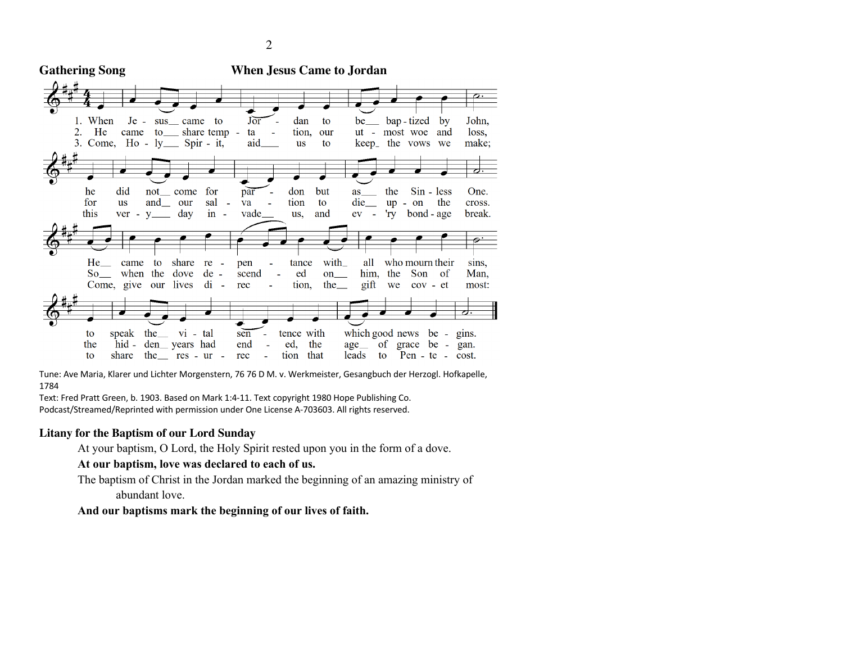**Gathering Song When Jesus Came to Jordan**  $J\overline{or}$ 1. When  $Je$ dan bap - tized  $b**v**$ John, sus came to to be  $2.$ He came to \_\_ share temp tion, ut - most woe loss, ta our and 3. Come, Ho - ly \_\_ Spir - it, aid **us** to keep<sub>-</sub> the vows we make; he did for par don but the Sin - less One. not come as for  $\overline{u}$ s and our sal L, va tion  $\mathbf{t}$ die  $up - on$ the cross. this day  $in$ vade and  $ev -$ 'ry bond - age break. us. He with who mourn their came to share  $re$ pen tance all sins.  $So$ when the dove  $de$ scend ed on him, the Son of Man. lives  $di -$ Come, give our rec tion, the\_ gift we  $cov - et$ most: which good news be - gins. to speak the vi - tal sen tence with ed. the  $hid$  $den$  years had end the  $age$ <sub>\_\_</sub> of grace be - gan.  $\mathbf{f}$ share the res - ur rec tion that leads to Pen - te - cost.

Tune: Ave Maria, Klarer und Lichter Morgenstern, 76 76 D M. v. Werkmeister, Gesangbuch der Herzogl. Hofkapelle, 1784

Text: Fred Pratt Green, b. 1903. Based on Mark 1:4-11. Text copyright 1980 Hope Publishing Co.

Podcast/Streamed/Reprinted with permission under One License A-703603. All rights reserved.

# **Litany for the Baptism of our Lord Sunday**

At your baptism, O Lord, the Holy Spirit rested upon you in the form of a dove.

**At our baptism, love was declared to each of us.**

The baptism of Christ in the Jordan marked the beginning of an amazing ministry of abundant love.

# **And our baptisms mark the beginning of our lives of faith.**

2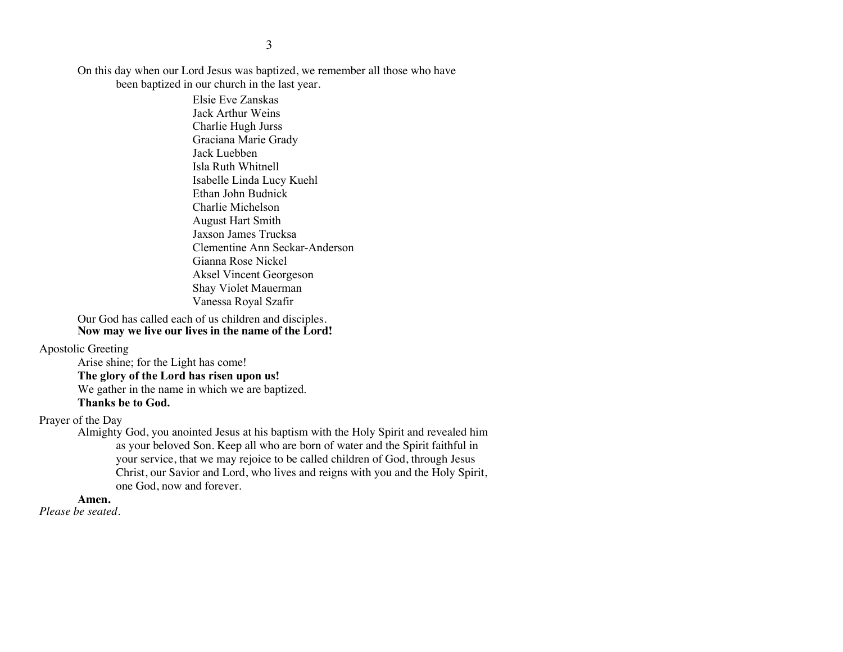On this day when our Lord Jesus was baptized, we remember all those who have been baptized in our church in the last year.

> Elsie Eve Zanskas Jack Arthur Weins Charlie Hugh Jurss Graciana Marie Grady Jack Luebben Isla Ruth Whitnell Isabelle Linda Lucy Kuehl Ethan John Budnick Charlie Michelson August Hart Smith Jaxson James Trucksa Clementine Ann Seckar-Anderson Gianna Rose Nickel Aksel Vincent Georgeson Shay Violet Mauerman Vanessa Royal Szafir

Our God has called each of us children and disciples. **Now may we live our lives in the name of the Lord!**

#### Apostolic Greeting

Arise shine; for the Light has come! **The glory of the Lord has risen upon us!** We gather in the name in which we are baptized. **Thanks be to God.**

#### Prayer of the Day

Almighty God, you anointed Jesus at his baptism with the Holy Spirit and revealed him as your beloved Son. Keep all who are born of water and the Spirit faithful in your service, that we may rejoice to be called children of God, through Jesus Christ, our Savior and Lord, who lives and reigns with you and the Holy Spirit, one God, now and forever.

#### **Amen.**

*Please be seated.*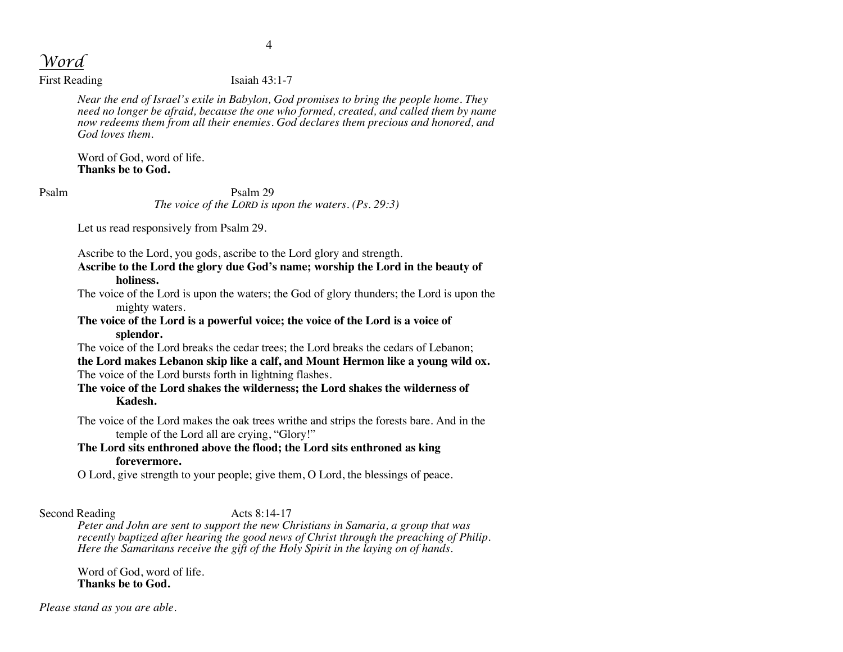*Word*

First Reading Isaiah 43:1-7

*Near the end of Israel's exile in Babylon, God promises to bring the people home. They need no longer be afraid, because the one who formed, created, and called them by name now redeems them from all their enemies. God declares them precious and honored, and God loves them.*

Word of God, word of life. **Thanks be to God.**

Psalm Psalm 29 *The voice of the LORD is upon the waters. (Ps. 29:3)*

Let us read responsively from Psalm 29.

Ascribe to the Lord, you gods, ascribe to the Lord glory and strength.

**Ascribe to the Lord the glory due God's name; worship the Lord in the beauty of holiness.**

The voice of the Lord is upon the waters; the God of glory thunders; the Lord is upon the mighty waters.

**The voice of the Lord is a powerful voice; the voice of the Lord is a voice of splendor.**

The voice of the Lord breaks the cedar trees; the Lord breaks the cedars of Lebanon; **the Lord makes Lebanon skip like a calf, and Mount Hermon like a young wild ox.**  The voice of the Lord bursts forth in lightning flashes.

**The voice of the Lord shakes the wilderness; the Lord shakes the wilderness of Kadesh.**

The voice of the Lord makes the oak trees writhe and strips the forests bare. And in the temple of the Lord all are crying, "Glory!"

# **The Lord sits enthroned above the flood; the Lord sits enthroned as king forevermore.**

O Lord, give strength to your people; give them, O Lord, the blessings of peace.

Second Reading Acts 8:14-17

*Peter and John are sent to support the new Christians in Samaria, a group that was recently baptized after hearing the good news of Christ through the preaching of Philip. Here the Samaritans receive the gift of the Holy Spirit in the laying on of hands.*

Word of God, word of life. **Thanks be to God.**

*Please stand as you are able.*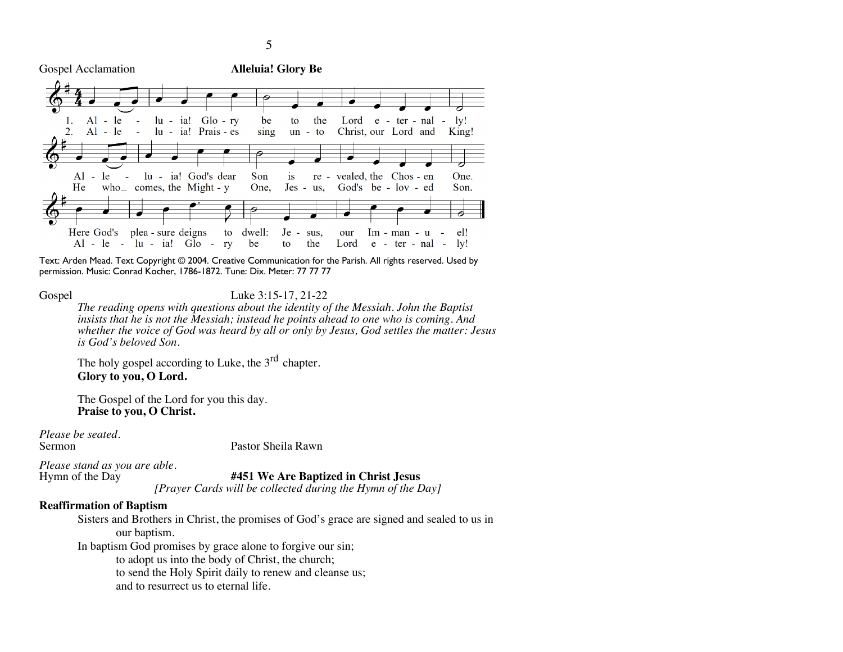Gospel Acclamation **Alleluia! Glory Be**



Text: Arden Mead. Text Copyright © 2004. Creative Communication for the Parish. All rights reserved. Used by permission. Music: Conrad Kocher, 1786-1872. Tune: Dix. Meter: 77 77 77

Gospel Luke 3:15-17, 21-22

*The reading opens with questions about the identity of the Messiah. John the Baptist insists that he is not the Messiah; instead he points ahead to one who is coming. And whether the voice of God was heard by all or only by Jesus, God settles the matter: Jesus is God's beloved Son.*

The holy gospel according to Luke, the  $3<sup>rd</sup>$  chapter. **Glory to you, O Lord.**

The Gospel of the Lord for you this day. **Praise to you, O Christ.**

*Please be seated.*

Pastor Sheila Rawn

*Please stand as you are able.*

#451 We Are Baptized in Christ Jesus

*[Prayer Cards will be collected during the Hymn of the Day]*

#### **Reaffirmation of Baptism**

Sisters and Brothers in Christ, the promises of God's grace are signed and sealed to us in our baptism.

In baptism God promises by grace alone to forgive our sin;

to adopt us into the body of Christ, the church;

to send the Holy Spirit daily to renew and cleanse us;

and to resurrect us to eternal life.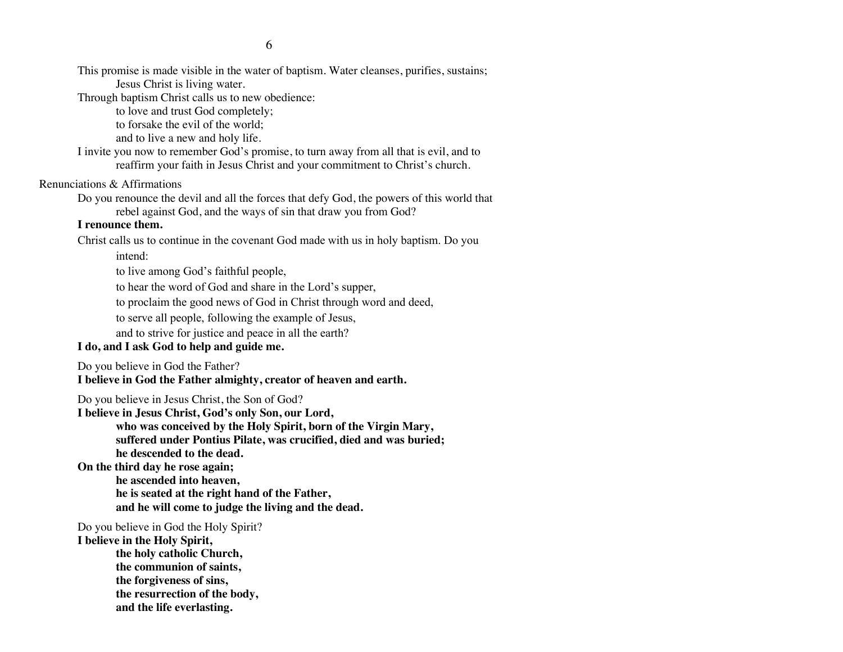This promise is made visible in the water of baptism. Water cleanses, purifies, sustains; Jesus Christ is living water.

Through baptism Christ calls us to new obedience:

to love and trust God completely;

to forsake the evil of the world;

and to live a new and holy life.

I invite you now to remember God's promise, to turn away from all that is evil, and to reaffirm your faith in Jesus Christ and your commitment to Christ's church.

#### Renunciations & Affirmations

Do you renounce the devil and all the forces that defy God, the powers of this world that rebel against God, and the ways of sin that draw you from God?

#### **I renounce them.**

Christ calls us to continue in the covenant God made with us in holy baptism. Do you intend:

to live among God's faithful people,

to hear the word of God and share in the Lord's supper,

to proclaim the good news of God in Christ through word and deed,

to serve all people, following the example of Jesus,

and to strive for justice and peace in all the earth?

## **I do, and I ask God to help and guide me.**

Do you believe in God the Father?

**I believe in God the Father almighty, creator of heaven and earth.**

Do you believe in Jesus Christ, the Son of God?

**I believe in Jesus Christ, God's only Son, our Lord, who was conceived by the Holy Spirit, born of the Virgin Mary, suffered under Pontius Pilate, was crucified, died and was buried; he descended to the dead.**

**On the third day he rose again;**

**he ascended into heaven, he is seated at the right hand of the Father, and he will come to judge the living and the dead.**

Do you believe in God the Holy Spirit?

**I believe in the Holy Spirit,**

**the holy catholic Church,**

**the communion of saints,**

**the forgiveness of sins,**

**the resurrection of the body,**

**and the life everlasting.**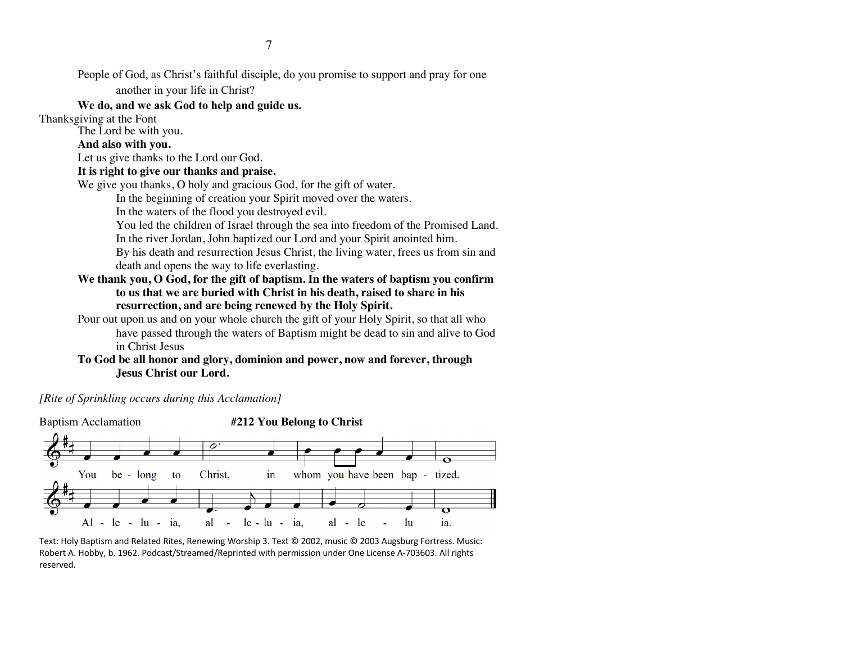People of God, as Christ's faithful disciple, do you promise to support and pray for one another in your life in Christ?

## **We do, and we ask God to help and guide us.**

Thanksgiving at the Font

The Lord be with you.

## **And also with you.**

Let us give thanks to the Lord our God.

## **It is right to give our thanks and praise.**

We give you thanks, O holy and gracious God, for the gift of water.

In the beginning of creation your Spirit moved over the waters.

In the waters of the flood you destroyed evil.

You led the children of Israel through the sea into freedom of the Promised Land. In the river Jordan, John baptized our Lord and your Spirit anointed him.

By his death and resurrection Jesus Christ, the living water, frees us from sin and death and opens the way to life everlasting.

# **We thank you, O God, for the gift of baptism. In the waters of baptism you confirm to us that we are buried with Christ in his death, raised to share in his resurrection, and are being renewed by the Holy Spirit.**

Pour out upon us and on your whole church the gift of your Holy Spirit, so that all who have passed through the waters of Baptism might be dead to sin and alive to God in Christ Jesus

# **To God be all honor and glory, dominion and power, now and forever, through Jesus Christ our Lord.**

*[Rite of Sprinkling occurs during this Acclamation]*



Text: Holy Baptism and Related Rites, Renewing Worship 3. Text © 2002, music © 2003 Augsburg Fortress. Music: Robert A. Hobby, b. 1962. Podcast/Streamed/Reprinted with permission under One License A-703603. All rights reserved.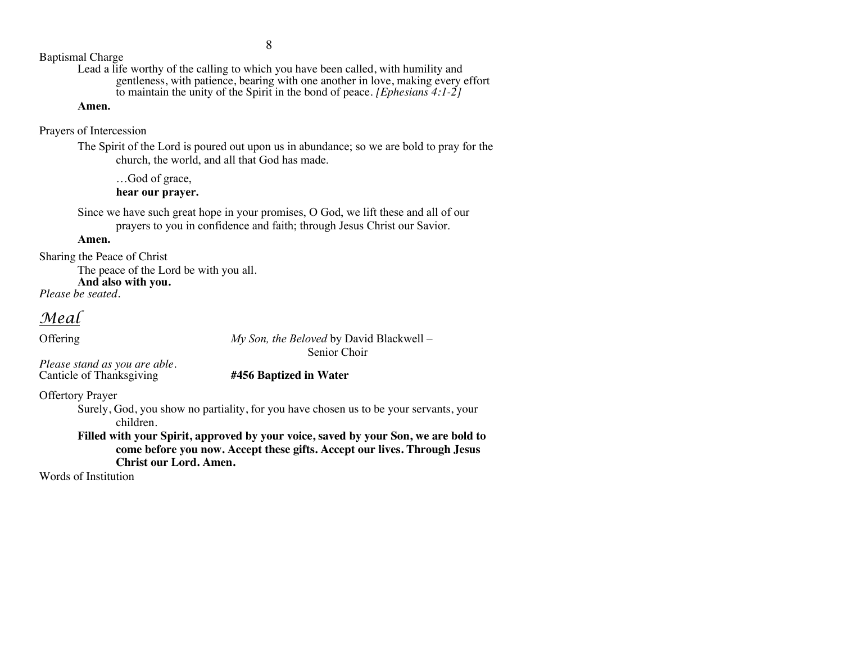Baptismal Charge

Lead a life worthy of the calling to which you have been called, with humility and gentleness, with patience, bearing with one another in love, making every effort to maintain the unity of the Spirit in the bond of peace. *[Ephesians 4:1-2]*

#### **Amen.**

Prayers of Intercession

The Spirit of the Lord is poured out upon us in abundance; so we are bold to pray for the church, the world, and all that God has made.

…God of grace, **hear our prayer.**

Since we have such great hope in your promises, O God, we lift these and all of our prayers to you in confidence and faith; through Jesus Christ our Savior.

# **Amen.**

Sharing the Peace of Christ

The peace of the Lord be with you all.

**And also with you.** *Please be seated.*

*Meal*

Offering *My Son, the Beloved* by David Blackwell – Senior Choir

*Please stand as you are able.* Canticle of Thanksgiving **#456 Baptized in Water**

Offertory Prayer

Surely, God, you show no partiality, for you have chosen us to be your servants, your children.

**Filled with your Spirit, approved by your voice, saved by your Son, we are bold to come before you now. Accept these gifts. Accept our lives. Through Jesus Christ our Lord. Amen.**

Words of Institution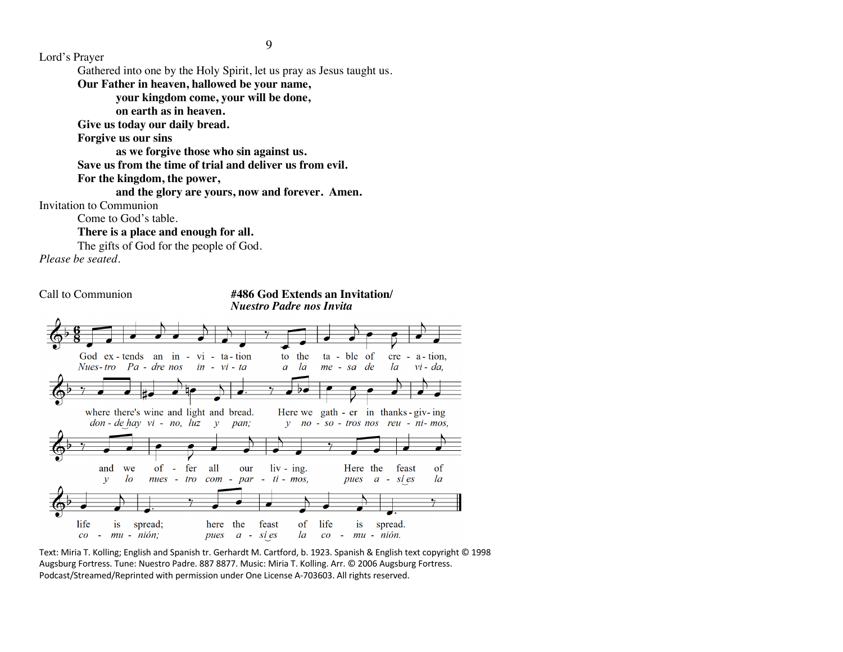9

Lord's Prayer

Gathered into one by the Holy Spirit, let us pray as Jesus taught us.

**Our Father in heaven, hallowed be your name,** 

**your kingdom come, your will be done,** 

**on earth as in heaven.**

**Give us today our daily bread.** 

**Forgive us our sins** 

**as we forgive those who sin against us.** 

**Save us from the time of trial and deliver us from evil.**

**For the kingdom, the power,** 

**and the glory are yours, now and forever. Amen.**

Invitation to Communion

Come to God's table.

**There is a place and enough for all.**

The gifts of God for the people of God.

*Please be seated.*



Text: Miria T. Kolling; English and Spanish tr. Gerhardt M. Cartford, b. 1923. Spanish & English text copyright © 1998 Augsburg Fortress. Tune: Nuestro Padre. 887 8877. Music: Miria T. Kolling. Arr. © 2006 Augsburg Fortress. Podcast/Streamed/Reprinted with permission under One License A-703603. All rights reserved.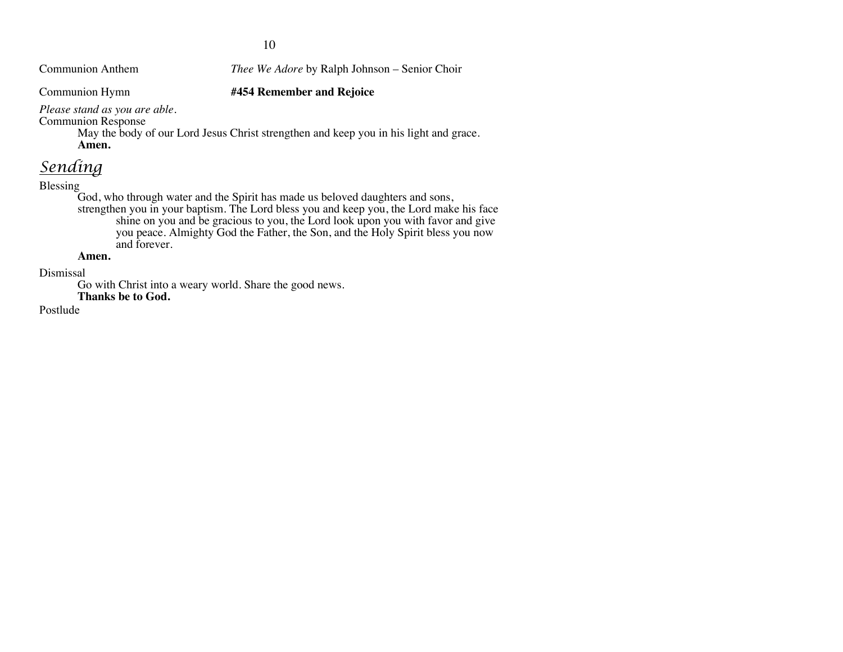10

Communion Anthem *Thee We Adore* by Ralph Johnson – Senior Choir

Communion Hymn **#454 Remember and Rejoice**

*Please stand as you are able.*

Communion Response

May the body of our Lord Jesus Christ strengthen and keep you in his light and grace. **Amen.**

# *Sending*

## Blessing

God, who through water and the Spirit has made us beloved daughters and sons, strengthen you in your baptism. The Lord bless you and keep you, the Lord make his face shine on you and be gracious to you, the Lord look upon you with favor and give you peace. Almighty God the Father, the Son, and the Holy Spirit bless you now and forever.

#### **Amen.**

Dismissal

Go with Christ into a weary world. Share the good news.

**Thanks be to God.**

Postlude